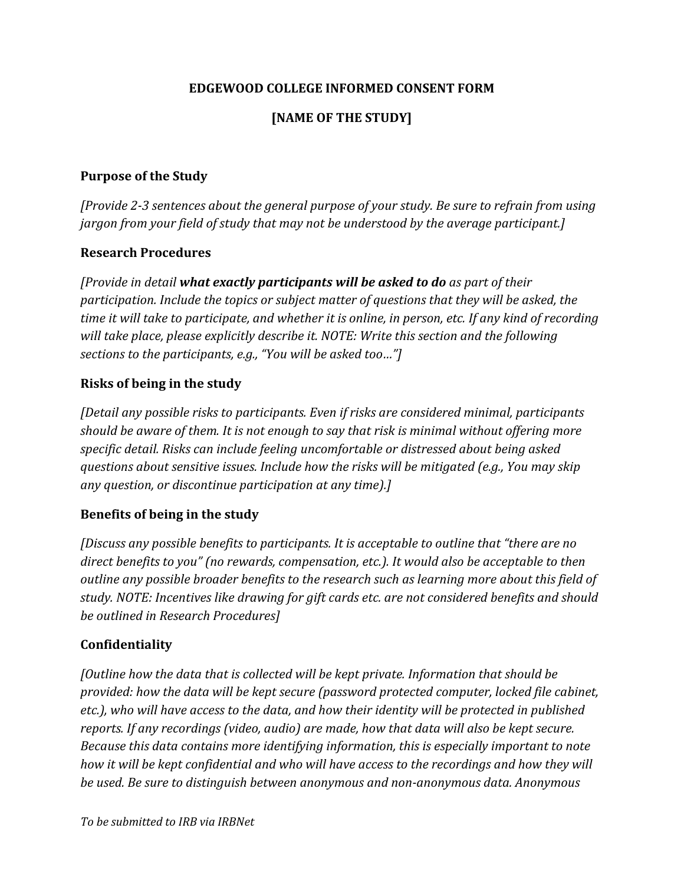### **EDGEWOOD COLLEGE INFORMED CONSENT FORM**

# **[NAME OF THE STUDY]**

#### **Purpose of the Study**

*[Provide 2-3 sentences about the general purpose of your study. Be sure to refrain from using jargon from your field of study that may not be understood by the average participant.]*

#### **Research Procedures**

*[Provide in detail what exactly participants will be asked to do as part of their participation. Include the topics or subject matter of questions that they will be asked, the time it will take to participate, and whether it is online, in person, etc. If any kind of recording will take place, please explicitly describe it. NOTE: Write this section and the following sections to the participants, e.g., "You will be asked too…"]*

#### **Risks of being in the study**

*[Detail any possible risks to participants. Even if risks are considered minimal, participants should be aware of them. It is not enough to say that risk is minimal without offering more specific detail. Risks can include feeling uncomfortable or distressed about being asked questions about sensitive issues. Include how the risks will be mitigated (e.g., You may skip any question, or discontinue participation at any time).]*

### **Benefits of being in the study**

*[Discuss any possible benefits to participants. It is acceptable to outline that "there are no direct benefits to you" (no rewards, compensation, etc.). It would also be acceptable to then outline any possible broader benefits to the research such as learning more about this field of study. NOTE: Incentives like drawing for gift cards etc. are not considered benefits and should be outlined in Research Procedures]*

### **Confidentiality**

*[Outline how the data that is collected will be kept private. Information that should be provided: how the data will be kept secure (password protected computer, locked file cabinet, etc.), who will have access to the data, and how their identity will be protected in published reports. If any recordings (video, audio) are made, how that data will also be kept secure. Because this data contains more identifying information, this is especially important to note how it will be kept confidential and who will have access to the recordings and how they will be used. Be sure to distinguish between anonymous and non-anonymous data. Anonymous*